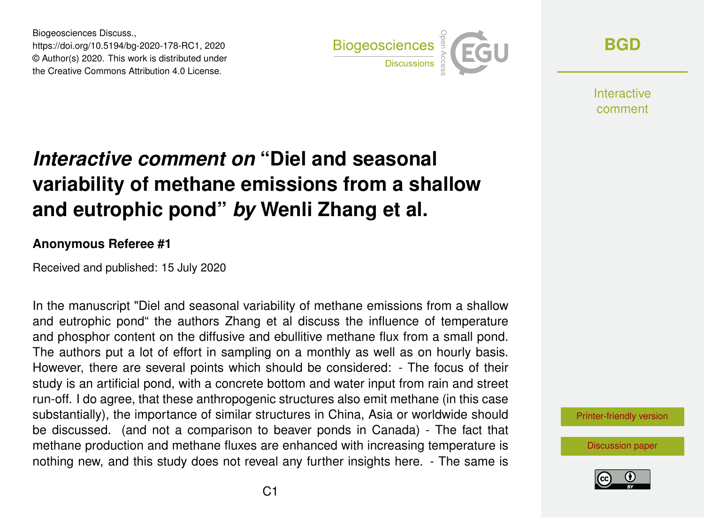Biogeosciences Discuss., https://doi.org/10.5194/bg-2020-178-RC1, 2020 © Author(s) 2020. This work is distributed under the Creative Commons Attribution 4.0 License.



**[BGD](https://www.biogeosciences-discuss.net/)**

**Interactive** comment

## *Interactive comment on* **"Diel and seasonal variability of methane emissions from a shallow and eutrophic pond"** *by* **Wenli Zhang et al.**

## **Anonymous Referee #1**

Received and published: 15 July 2020

In the manuscript "Diel and seasonal variability of methane emissions from a shallow and eutrophic pond" the authors Zhang et al discuss the influence of temperature and phosphor content on the diffusive and ebullitive methane flux from a small pond. The authors put a lot of effort in sampling on a monthly as well as on hourly basis. However, there are several points which should be considered: - The focus of their study is an artificial pond, with a concrete bottom and water input from rain and street run-off. I do agree, that these anthropogenic structures also emit methane (in this case substantially), the importance of similar structures in China, Asia or worldwide should be discussed. (and not a comparison to beaver ponds in Canada) - The fact that methane production and methane fluxes are enhanced with increasing temperature is nothing new, and this study does not reveal any further insights here. - The same is

[Printer-friendly version](https://www.biogeosciences-discuss.net/bg-2020-178/bg-2020-178-RC1-print.pdf)

[Discussion paper](https://www.biogeosciences-discuss.net/bg-2020-178)